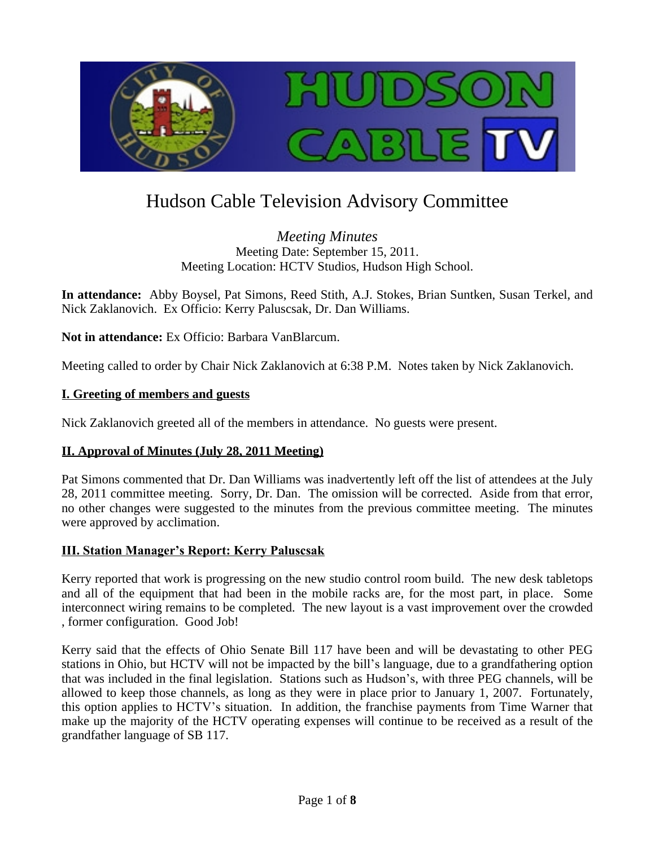

# Hudson Cable Television Advisory Committee

*Meeting Minutes* Meeting Date: September 15, 2011. Meeting Location: HCTV Studios, Hudson High School.

**In attendance:** Abby Boysel, Pat Simons, Reed Stith, A.J. Stokes, Brian Suntken, Susan Terkel, and Nick Zaklanovich. Ex Officio: Kerry Paluscsak, Dr. Dan Williams.

**Not in attendance:** Ex Officio: Barbara VanBlarcum.

Meeting called to order by Chair Nick Zaklanovich at 6:38 P.M. Notes taken by Nick Zaklanovich.

#### **I. Greeting of members and guests**

Nick Zaklanovich greeted all of the members in attendance. No guests were present.

#### **II. Approval of Minutes (July 28, 2011 Meeting)**

Pat Simons commented that Dr. Dan Williams was inadvertently left off the list of attendees at the July 28, 2011 committee meeting. Sorry, Dr. Dan. The omission will be corrected. Aside from that error, no other changes were suggested to the minutes from the previous committee meeting. The minutes were approved by acclimation.

#### **III. Station Manager's Report: Kerry Paluscsak**

Kerry reported that work is progressing on the new studio control room build. The new desk tabletops and all of the equipment that had been in the mobile racks are, for the most part, in place. Some interconnect wiring remains to be completed. The new layout is a vast improvement over the crowded , former configuration. Good Job!

Kerry said that the effects of Ohio Senate Bill 117 have been and will be devastating to other PEG stations in Ohio, but HCTV will not be impacted by the bill's language, due to a grandfathering option that was included in the final legislation. Stations such as Hudson's, with three PEG channels, will be allowed to keep those channels, as long as they were in place prior to January 1, 2007. Fortunately, this option applies to HCTV's situation. In addition, the franchise payments from Time Warner that make up the majority of the HCTV operating expenses will continue to be received as a result of the grandfather language of SB 117.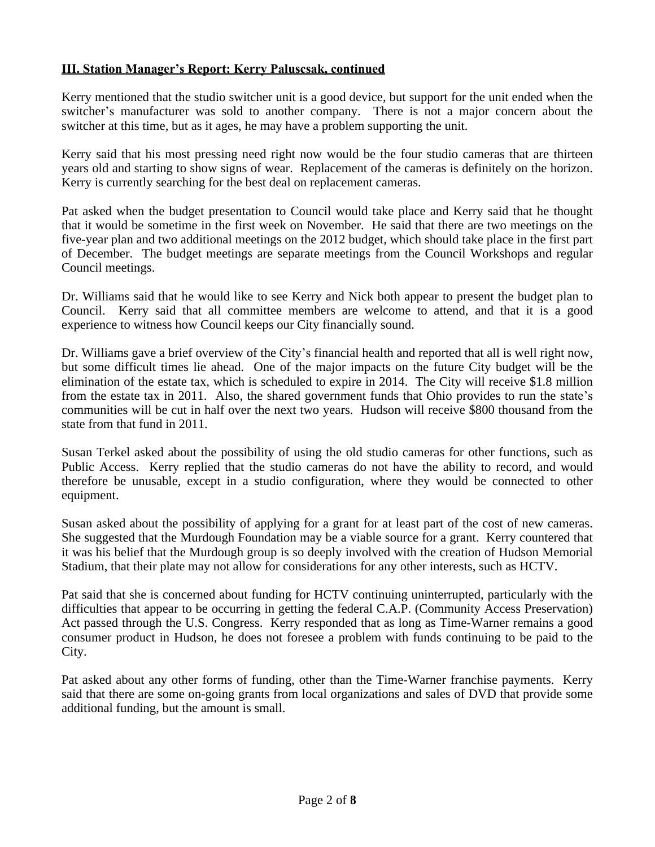## **III. Station Manager's Report: Kerry Paluscsak, continued**

Kerry mentioned that the studio switcher unit is a good device, but support for the unit ended when the switcher's manufacturer was sold to another company. There is not a major concern about the switcher at this time, but as it ages, he may have a problem supporting the unit.

Kerry said that his most pressing need right now would be the four studio cameras that are thirteen years old and starting to show signs of wear. Replacement of the cameras is definitely on the horizon. Kerry is currently searching for the best deal on replacement cameras.

Pat asked when the budget presentation to Council would take place and Kerry said that he thought that it would be sometime in the first week on November. He said that there are two meetings on the five-year plan and two additional meetings on the 2012 budget, which should take place in the first part of December. The budget meetings are separate meetings from the Council Workshops and regular Council meetings.

Dr. Williams said that he would like to see Kerry and Nick both appear to present the budget plan to Council. Kerry said that all committee members are welcome to attend, and that it is a good experience to witness how Council keeps our City financially sound.

Dr. Williams gave a brief overview of the City's financial health and reported that all is well right now, but some difficult times lie ahead. One of the major impacts on the future City budget will be the elimination of the estate tax, which is scheduled to expire in 2014. The City will receive \$1.8 million from the estate tax in 2011. Also, the shared government funds that Ohio provides to run the state's communities will be cut in half over the next two years. Hudson will receive \$800 thousand from the state from that fund in 2011.

Susan Terkel asked about the possibility of using the old studio cameras for other functions, such as Public Access. Kerry replied that the studio cameras do not have the ability to record, and would therefore be unusable, except in a studio configuration, where they would be connected to other equipment.

Susan asked about the possibility of applying for a grant for at least part of the cost of new cameras. She suggested that the Murdough Foundation may be a viable source for a grant. Kerry countered that it was his belief that the Murdough group is so deeply involved with the creation of Hudson Memorial Stadium, that their plate may not allow for considerations for any other interests, such as HCTV.

Pat said that she is concerned about funding for HCTV continuing uninterrupted, particularly with the difficulties that appear to be occurring in getting the federal C.A.P. (Community Access Preservation) Act passed through the U.S. Congress. Kerry responded that as long as Time-Warner remains a good consumer product in Hudson, he does not foresee a problem with funds continuing to be paid to the City.

Pat asked about any other forms of funding, other than the Time-Warner franchise payments. Kerry said that there are some on-going grants from local organizations and sales of DVD that provide some additional funding, but the amount is small.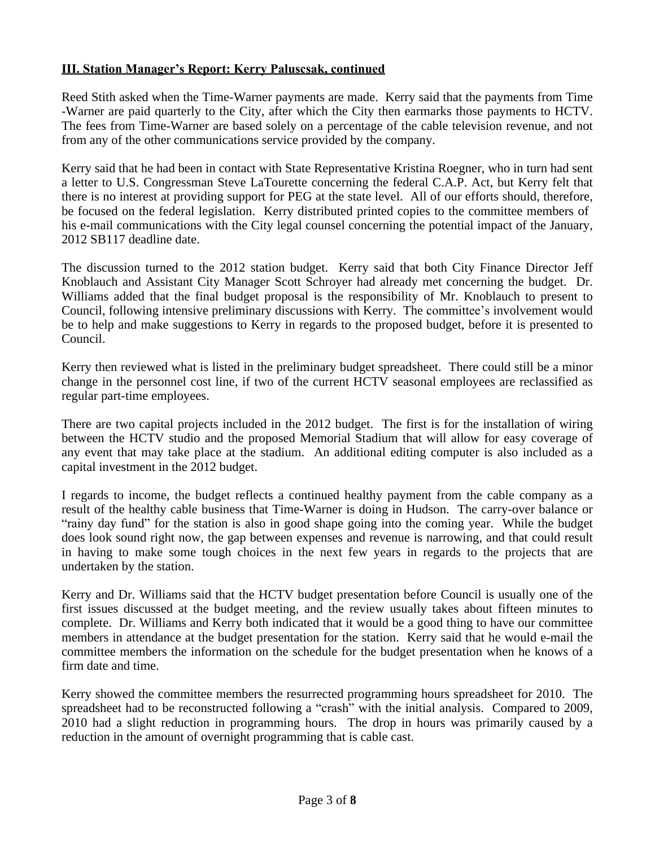# **III. Station Manager's Report: Kerry Paluscsak, continued**

Reed Stith asked when the Time-Warner payments are made. Kerry said that the payments from Time -Warner are paid quarterly to the City, after which the City then earmarks those payments to HCTV. The fees from Time-Warner are based solely on a percentage of the cable television revenue, and not from any of the other communications service provided by the company.

Kerry said that he had been in contact with State Representative Kristina Roegner, who in turn had sent a letter to U.S. Congressman Steve LaTourette concerning the federal C.A.P. Act, but Kerry felt that there is no interest at providing support for PEG at the state level. All of our efforts should, therefore, be focused on the federal legislation. Kerry distributed printed copies to the committee members of his e-mail communications with the City legal counsel concerning the potential impact of the January, 2012 SB117 deadline date.

The discussion turned to the 2012 station budget. Kerry said that both City Finance Director Jeff Knoblauch and Assistant City Manager Scott Schroyer had already met concerning the budget. Dr. Williams added that the final budget proposal is the responsibility of Mr. Knoblauch to present to Council, following intensive preliminary discussions with Kerry. The committee's involvement would be to help and make suggestions to Kerry in regards to the proposed budget, before it is presented to Council.

Kerry then reviewed what is listed in the preliminary budget spreadsheet. There could still be a minor change in the personnel cost line, if two of the current HCTV seasonal employees are reclassified as regular part-time employees.

There are two capital projects included in the 2012 budget. The first is for the installation of wiring between the HCTV studio and the proposed Memorial Stadium that will allow for easy coverage of any event that may take place at the stadium. An additional editing computer is also included as a capital investment in the 2012 budget.

I regards to income, the budget reflects a continued healthy payment from the cable company as a result of the healthy cable business that Time-Warner is doing in Hudson. The carry-over balance or "rainy day fund" for the station is also in good shape going into the coming year. While the budget does look sound right now, the gap between expenses and revenue is narrowing, and that could result in having to make some tough choices in the next few years in regards to the projects that are undertaken by the station.

Kerry and Dr. Williams said that the HCTV budget presentation before Council is usually one of the first issues discussed at the budget meeting, and the review usually takes about fifteen minutes to complete. Dr. Williams and Kerry both indicated that it would be a good thing to have our committee members in attendance at the budget presentation for the station. Kerry said that he would e-mail the committee members the information on the schedule for the budget presentation when he knows of a firm date and time.

Kerry showed the committee members the resurrected programming hours spreadsheet for 2010. The spreadsheet had to be reconstructed following a "crash" with the initial analysis. Compared to 2009, 2010 had a slight reduction in programming hours. The drop in hours was primarily caused by a reduction in the amount of overnight programming that is cable cast.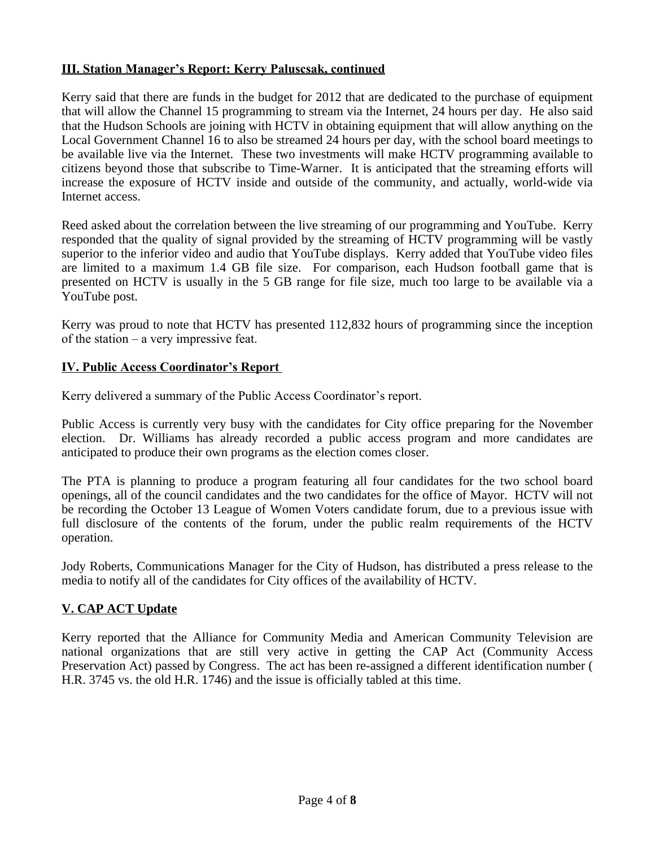## **III. Station Manager's Report: Kerry Paluscsak, continued**

Kerry said that there are funds in the budget for 2012 that are dedicated to the purchase of equipment that will allow the Channel 15 programming to stream via the Internet, 24 hours per day. He also said that the Hudson Schools are joining with HCTV in obtaining equipment that will allow anything on the Local Government Channel 16 to also be streamed 24 hours per day, with the school board meetings to be available live via the Internet. These two investments will make HCTV programming available to citizens beyond those that subscribe to Time-Warner. It is anticipated that the streaming efforts will increase the exposure of HCTV inside and outside of the community, and actually, world-wide via Internet access.

Reed asked about the correlation between the live streaming of our programming and YouTube. Kerry responded that the quality of signal provided by the streaming of HCTV programming will be vastly superior to the inferior video and audio that YouTube displays. Kerry added that YouTube video files are limited to a maximum 1.4 GB file size. For comparison, each Hudson football game that is presented on HCTV is usually in the 5 GB range for file size, much too large to be available via a YouTube post.

Kerry was proud to note that HCTV has presented 112,832 hours of programming since the inception of the station – a very impressive feat.

## **IV. Public Access Coordinator's Report**

Kerry delivered a summary of the Public Access Coordinator's report.

Public Access is currently very busy with the candidates for City office preparing for the November election. Dr. Williams has already recorded a public access program and more candidates are anticipated to produce their own programs as the election comes closer.

The PTA is planning to produce a program featuring all four candidates for the two school board openings, all of the council candidates and the two candidates for the office of Mayor. HCTV will not be recording the October 13 League of Women Voters candidate forum, due to a previous issue with full disclosure of the contents of the forum, under the public realm requirements of the HCTV operation.

Jody Roberts, Communications Manager for the City of Hudson, has distributed a press release to the media to notify all of the candidates for City offices of the availability of HCTV.

## **V. CAP ACT Update**

Kerry reported that the Alliance for Community Media and American Community Television are national organizations that are still very active in getting the CAP Act (Community Access Preservation Act) passed by Congress. The act has been re-assigned a different identification number ( H.R. 3745 vs. the old H.R. 1746) and the issue is officially tabled at this time.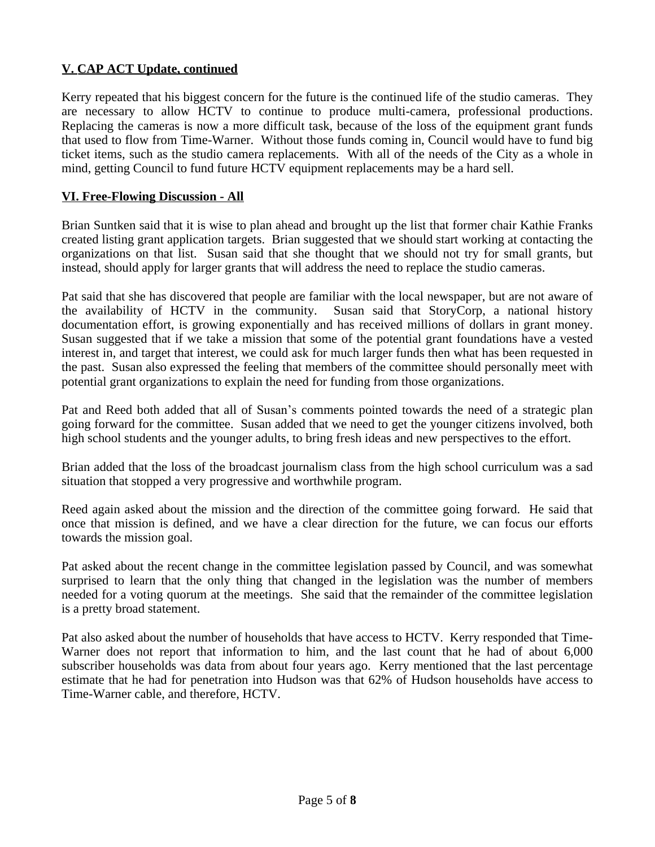# **V. CAP ACT Update, continued**

Kerry repeated that his biggest concern for the future is the continued life of the studio cameras. They are necessary to allow HCTV to continue to produce multi-camera, professional productions. Replacing the cameras is now a more difficult task, because of the loss of the equipment grant funds that used to flow from Time-Warner. Without those funds coming in, Council would have to fund big ticket items, such as the studio camera replacements. With all of the needs of the City as a whole in mind, getting Council to fund future HCTV equipment replacements may be a hard sell.

## **VI. Free-Flowing Discussion - All**

Brian Suntken said that it is wise to plan ahead and brought up the list that former chair Kathie Franks created listing grant application targets. Brian suggested that we should start working at contacting the organizations on that list. Susan said that she thought that we should not try for small grants, but instead, should apply for larger grants that will address the need to replace the studio cameras.

Pat said that she has discovered that people are familiar with the local newspaper, but are not aware of the availability of HCTV in the community. Susan said that StoryCorp, a national history documentation effort, is growing exponentially and has received millions of dollars in grant money. Susan suggested that if we take a mission that some of the potential grant foundations have a vested interest in, and target that interest, we could ask for much larger funds then what has been requested in the past. Susan also expressed the feeling that members of the committee should personally meet with potential grant organizations to explain the need for funding from those organizations.

Pat and Reed both added that all of Susan's comments pointed towards the need of a strategic plan going forward for the committee. Susan added that we need to get the younger citizens involved, both high school students and the younger adults, to bring fresh ideas and new perspectives to the effort.

Brian added that the loss of the broadcast journalism class from the high school curriculum was a sad situation that stopped a very progressive and worthwhile program.

Reed again asked about the mission and the direction of the committee going forward. He said that once that mission is defined, and we have a clear direction for the future, we can focus our efforts towards the mission goal.

Pat asked about the recent change in the committee legislation passed by Council, and was somewhat surprised to learn that the only thing that changed in the legislation was the number of members needed for a voting quorum at the meetings. She said that the remainder of the committee legislation is a pretty broad statement.

Pat also asked about the number of households that have access to HCTV. Kerry responded that Time-Warner does not report that information to him, and the last count that he had of about 6,000 subscriber households was data from about four years ago. Kerry mentioned that the last percentage estimate that he had for penetration into Hudson was that 62% of Hudson households have access to Time-Warner cable, and therefore, HCTV.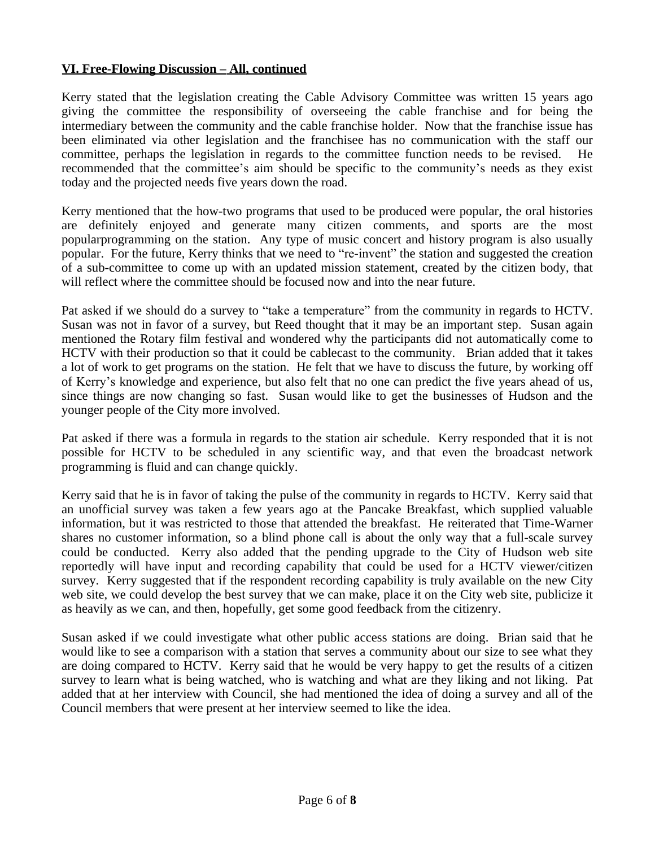## **VI. Free-Flowing Discussion – All, continued**

Kerry stated that the legislation creating the Cable Advisory Committee was written 15 years ago giving the committee the responsibility of overseeing the cable franchise and for being the intermediary between the community and the cable franchise holder. Now that the franchise issue has been eliminated via other legislation and the franchisee has no communication with the staff our committee, perhaps the legislation in regards to the committee function needs to be revised. He recommended that the committee's aim should be specific to the community's needs as they exist today and the projected needs five years down the road.

Kerry mentioned that the how-two programs that used to be produced were popular, the oral histories are definitely enjoyed and generate many citizen comments, and sports are the most popularprogramming on the station. Any type of music concert and history program is also usually popular. For the future, Kerry thinks that we need to "re-invent" the station and suggested the creation of a sub-committee to come up with an updated mission statement, created by the citizen body, that will reflect where the committee should be focused now and into the near future.

Pat asked if we should do a survey to "take a temperature" from the community in regards to HCTV. Susan was not in favor of a survey, but Reed thought that it may be an important step. Susan again mentioned the Rotary film festival and wondered why the participants did not automatically come to HCTV with their production so that it could be cablecast to the community. Brian added that it takes a lot of work to get programs on the station. He felt that we have to discuss the future, by working off of Kerry's knowledge and experience, but also felt that no one can predict the five years ahead of us, since things are now changing so fast. Susan would like to get the businesses of Hudson and the younger people of the City more involved.

Pat asked if there was a formula in regards to the station air schedule. Kerry responded that it is not possible for HCTV to be scheduled in any scientific way, and that even the broadcast network programming is fluid and can change quickly.

Kerry said that he is in favor of taking the pulse of the community in regards to HCTV. Kerry said that an unofficial survey was taken a few years ago at the Pancake Breakfast, which supplied valuable information, but it was restricted to those that attended the breakfast. He reiterated that Time-Warner shares no customer information, so a blind phone call is about the only way that a full-scale survey could be conducted. Kerry also added that the pending upgrade to the City of Hudson web site reportedly will have input and recording capability that could be used for a HCTV viewer/citizen survey. Kerry suggested that if the respondent recording capability is truly available on the new City web site, we could develop the best survey that we can make, place it on the City web site, publicize it as heavily as we can, and then, hopefully, get some good feedback from the citizenry.

Susan asked if we could investigate what other public access stations are doing. Brian said that he would like to see a comparison with a station that serves a community about our size to see what they are doing compared to HCTV. Kerry said that he would be very happy to get the results of a citizen survey to learn what is being watched, who is watching and what are they liking and not liking. Pat added that at her interview with Council, she had mentioned the idea of doing a survey and all of the Council members that were present at her interview seemed to like the idea.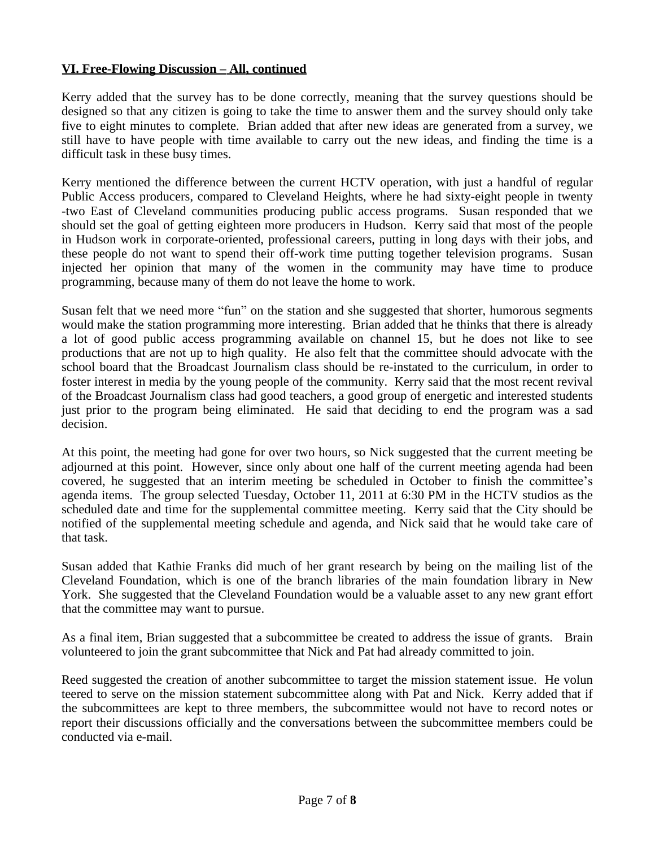## **VI. Free-Flowing Discussion – All, continued**

Kerry added that the survey has to be done correctly, meaning that the survey questions should be designed so that any citizen is going to take the time to answer them and the survey should only take five to eight minutes to complete. Brian added that after new ideas are generated from a survey, we still have to have people with time available to carry out the new ideas, and finding the time is a difficult task in these busy times.

Kerry mentioned the difference between the current HCTV operation, with just a handful of regular Public Access producers, compared to Cleveland Heights, where he had sixty-eight people in twenty -two East of Cleveland communities producing public access programs. Susan responded that we should set the goal of getting eighteen more producers in Hudson. Kerry said that most of the people in Hudson work in corporate-oriented, professional careers, putting in long days with their jobs, and these people do not want to spend their off-work time putting together television programs. Susan injected her opinion that many of the women in the community may have time to produce programming, because many of them do not leave the home to work.

Susan felt that we need more "fun" on the station and she suggested that shorter, humorous segments would make the station programming more interesting. Brian added that he thinks that there is already a lot of good public access programming available on channel 15, but he does not like to see productions that are not up to high quality. He also felt that the committee should advocate with the school board that the Broadcast Journalism class should be re-instated to the curriculum, in order to foster interest in media by the young people of the community. Kerry said that the most recent revival of the Broadcast Journalism class had good teachers, a good group of energetic and interested students just prior to the program being eliminated. He said that deciding to end the program was a sad decision.

At this point, the meeting had gone for over two hours, so Nick suggested that the current meeting be adjourned at this point. However, since only about one half of the current meeting agenda had been covered, he suggested that an interim meeting be scheduled in October to finish the committee's agenda items. The group selected Tuesday, October 11, 2011 at 6:30 PM in the HCTV studios as the scheduled date and time for the supplemental committee meeting. Kerry said that the City should be notified of the supplemental meeting schedule and agenda, and Nick said that he would take care of that task.

Susan added that Kathie Franks did much of her grant research by being on the mailing list of the Cleveland Foundation, which is one of the branch libraries of the main foundation library in New York. She suggested that the Cleveland Foundation would be a valuable asset to any new grant effort that the committee may want to pursue.

As a final item, Brian suggested that a subcommittee be created to address the issue of grants. Brain volunteered to join the grant subcommittee that Nick and Pat had already committed to join.

Reed suggested the creation of another subcommittee to target the mission statement issue. He volun teered to serve on the mission statement subcommittee along with Pat and Nick. Kerry added that if the subcommittees are kept to three members, the subcommittee would not have to record notes or report their discussions officially and the conversations between the subcommittee members could be conducted via e-mail.